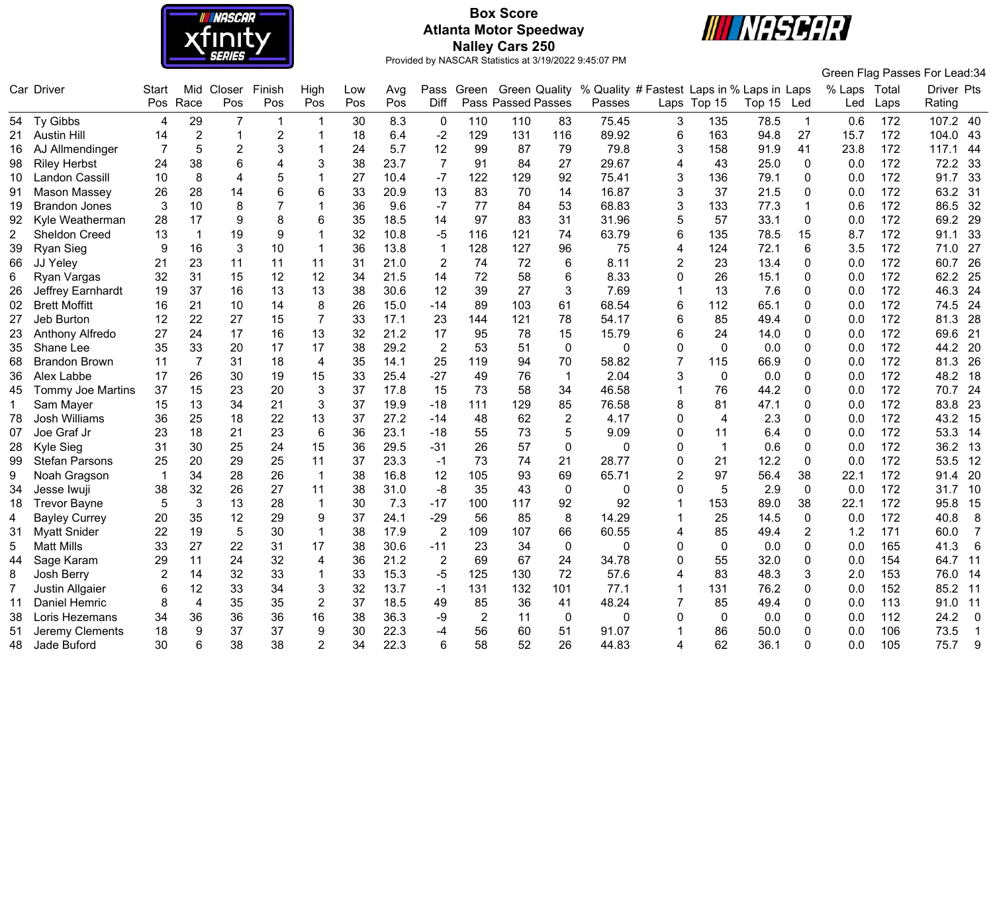

# **Box Score Atlanta Motor Speedway Nalley Cars 250**



|    |                          |       |                  |                       |                |                 |     |      |                |                |                           |                |                                            |                |                |        |                |              |      | Green Flag Passes For Lead:34 |
|----|--------------------------|-------|------------------|-----------------------|----------------|-----------------|-----|------|----------------|----------------|---------------------------|----------------|--------------------------------------------|----------------|----------------|--------|----------------|--------------|------|-------------------------------|
|    | Car Driver               | Start | Mid              | Closer                | Finish         | High            | Low | Avg  |                | Pass Green     | <b>Green Quality</b>      |                | % Quality # Fastest Laps in % Laps in Laps |                |                |        |                | % Laps Total |      | Driver Pts                    |
|    |                          | Pos   | Race             | Pos                   | Pos            | Pos             | Pos | Pos  | Diff           |                | <b>Pass Passed Passes</b> |                | Passes                                     |                | Laps Top 15    | Top 15 | Led            | Led          | Laps | Rating                        |
|    | 54 Ty Gibbs              | 4     | 29               | $\overline{7}$        | -1             |                 | 30  | 8.3  | $\mathbf 0$    | 110            | 110                       | 83             | 75.45                                      | 3              | 135            | 78.5   | $\overline{1}$ | 0.6          | 172  | 107.2 40                      |
| 21 | <b>Austin Hill</b>       | 14    | $\boldsymbol{2}$ | $\overline{1}$        | $\overline{2}$ |                 | 18  | 6.4  | $-2$           | 129            | 131                       | 116            | 89.92                                      | 6              | 163            | 94.8   | 27             | 15.7         | 172  | 104.0<br>43                   |
| 16 | AJ Allmendinger          | 7     | 5                | $\overline{c}$        | 3              |                 | 24  | 5.7  | 12             | 99             | 87                        | 79             | 79.8                                       | 3              | 158            | 91.9   | 41             | 23.8         | 172  | 117.1<br>44                   |
| 98 | <b>Riley Herbst</b>      | 24    | 38               | 6                     | 4              | 3               | 38  | 23.7 | $\overline{7}$ | 91             | 84                        | 27             | 29.67                                      | 4              | 43             | 25.0   | $\Omega$       | 0.0          | 172  | 72.2<br>33                    |
| 10 | <b>Landon Cassill</b>    | 10    | 8                | $\boldsymbol{\Delta}$ | 5              |                 | 27  | 10.4 | $-7$           | 122            | 129                       | 92             | 75.41                                      | 3              | 136            | 79.1   | $\mathbf{0}$   | 0.0          | 172  | 91.7<br>33                    |
| 91 | Mason Massey             | 26    | 28               | 14                    | 6              | 6               | 33  | 20.9 | 13             | 83             | 70                        | 14             | 16.87                                      | 3              | 37             | 21.5   | $\Omega$       | 0.0          | 172  | 63.2<br>31                    |
| 19 | <b>Brandon Jones</b>     | 3     | 10               | 8                     |                |                 | 36  | 9.6  | $-7$           | 77             | 84                        | 53             | 68.83                                      | 3              | 133            | 77.3   | -1             | 0.6          | 172  | 86.5<br>32                    |
| 92 | Kyle Weatherman          | 28    | 17               | 9                     | 8              | 6               | 35  | 18.5 | 14             | 97             | 83                        | 31             | 31.96                                      | 5              | 57             | 33.1   | 0              | 0.0          | 172  | 69.2<br>29                    |
| 2  | Sheldon Creed            | 13    | $\mathbf{1}$     | 19                    | 9              |                 | 32  | 10.8 | $-5$           | 116            | 121                       | 74             | 63.79                                      | 6              | 135            | 78.5   | 15             | 8.7          | 172  | 33<br>91.1                    |
| 39 | <b>Ryan Sieg</b>         | 9     | 16               | 3                     | 10             |                 | 36  | 13.8 | $\mathbf{1}$   | 128            | 127                       | 96             | 75                                         | 4              | 124            | 72.1   | 6              | 3.5          | 172  | 71.0<br>27                    |
| 66 | JJ Yeley                 | 21    | 23               | 11                    | 11             | 11              | 31  | 21.0 | $\overline{2}$ | 74             | 72                        | 6              | 8.11                                       | $\overline{2}$ | 23             | 13.4   | $\Omega$       | 0.0          | 172  | 26<br>60.7                    |
| 6  | Ryan Vargas              | 32    | 31               | 15                    | 12             | 12              | 34  | 21.5 | 14             | 72             | 58                        | 6              | 8.33                                       | 0              | 26             | 15.1   | 0              | 0.0          | 172  | 62.2<br>25                    |
| 26 | Jeffrey Earnhardt        | 19    | 37               | 16                    | 13             | 13              | 38  | 30.6 | 12             | 39             | 27                        | 3              | 7.69                                       |                | 13             | 7.6    | 0              | 0.0          | 172  | 46.3<br>24                    |
| 02 | <b>Brett Moffitt</b>     | 16    | 21               | 10                    | 14             | 8               | 26  | 15.0 | $-14$          | 89             | 103                       | 61             | 68.54                                      | 6              | 112            | 65.1   | 0              | 0.0          | 172  | 74.5<br>24                    |
| 27 | Jeb Burton               | 12    | 22               | 27                    | 15             | $\overline{7}$  | 33  | 17.1 | 23             | 144            | 121                       | 78             | 54.17                                      | 6              | 85             | 49.4   | 0              | 0.0          | 172  | 81.3<br>28                    |
|    | Anthony Alfredo          | 27    | 24               | 17                    | 16             | 13              | 32  | 21.2 | 17             | 95             | 78                        | 15             | 15.79                                      | 6              | 24             | 14.0   | 0              | 0.0          | 172  | 21<br>69.6                    |
| 35 | Shane Lee                | 35    | 33               | 20                    | 17             | 17              | 38  | 29.2 | $\overline{2}$ | 53             | 51                        | $\pmb{0}$      | 0                                          | 0              | $\pmb{0}$      | 0.0    | $\Omega$       | 0.0          | 172  | 44.2<br>20                    |
| 68 | <b>Brandon Brown</b>     | 11    | $\overline{7}$   | 31                    | 18             | 4               | 35  | 14.1 | 25             | 119            | 94                        | 70             | 58.82                                      | 7              | 115            | 66.9   | 0              | 0.0          | 172  | 26<br>81.3                    |
| 36 | Alex Labbe               | 17    | 26               | 30                    | 19             | 15              | 33  | 25.4 | $-27$          | 49             | 76                        | $\mathbf{1}$   | 2.04                                       | 3              | $\mathbf 0$    | 0.0    | 0              | 0.0          | 172  | 48.2<br>18                    |
| 45 | <b>Tommy Joe Martins</b> | 37    | 15               | 23                    | 20             | 3               | 37  | 17.8 | 15             | 73             | 58                        | 34             | 46.58                                      | 1              | 76             | 44.2   | 0              | 0.0          | 172  | 24<br>70.7                    |
|    | Sam Mayer                | 15    | 13               | 34                    | 21             | 3               | 37  | 19.9 | $-18$          | 111            | 129                       | 85             | 76.58                                      | 8              | 81             | 47.1   | $\Omega$       | 0.0          | 172  | 83.8<br>23                    |
| 78 | Josh Williams            | 36    | 25               | 18                    | 22             | 13              | 37  | 27.2 | $-14$          | 48             | 62                        | $\overline{2}$ | 4.17                                       | 0              | $\overline{4}$ | 2.3    | 0              | 0.0          | 172  | 43.2<br>15                    |
| 07 | Joe Graf Jr              | 23    | 18               | 21                    | 23             | $6\phantom{1}6$ | 36  | 23.1 | $-18$          | 55             | 73                        | 5              | 9.09                                       | 0              | 11             | 6.4    | 0              | 0.0          | 172  | 53.3<br>14                    |
| 28 | Kyle Sieg                | 31    | 30               | 25                    | 24             | 15              | 36  | 29.5 | $-31$          | 26             | 57                        | 0              | 0                                          | $\Omega$       | $\mathbf{1}$   | 0.6    | $\mathbf 0$    | 0.0          | 172  | 36.2<br>13                    |
| 99 | <b>Stefan Parsons</b>    | 25    | 20               | 29                    | 25             | 11              | 37  | 23.3 | $-1$           | 73             | 74                        | 21             | 28.77                                      | $\Omega$       | 21             | 12.2   | $\mathbf{0}$   | 0.0          | 172  | 53.5<br>12                    |
| 9  | Noah Gragson             | -1    | 34               | 28                    | 26             | $\mathbf 1$     | 38  | 16.8 | 12             | 105            | 93                        | 69             | 65.71                                      | $\overline{2}$ | 97             | 56.4   | 38             | 22.1         | 172  | 91.4<br>20                    |
| 34 | Jesse Iwuji              | 38    | 32               | 26                    | 27             | 11              | 38  | 31.0 | $-8$           | 35             | 43                        | $\mathbf 0$    | 0                                          | 0              | 5              | 2.9    | $\mathbf{0}$   | 0.0          | 172  | 31.7<br>10                    |
| 18 | <b>Trevor Bayne</b>      | 5     | $\sqrt{3}$       | 13                    | 28             | $\overline{1}$  | 30  | 7.3  | $-17$          | 100            | 117                       | 92             | 92                                         | 1              | 153            | 89.0   | 38             | 22.1         | 172  | 95.8<br>15                    |
| 4  | <b>Bayley Currey</b>     | 20    | 35               | 12                    | 29             | 9               | 37  | 24.1 | $-29$          | 56             | 85                        | 8              | 14.29                                      | $\mathbf 1$    | 25             | 14.5   | $\mathbf 0$    | 0.0          | 172  | 8<br>40.8                     |
| 31 | <b>Myatt Snider</b>      | 22    | 19               | 5                     | 30             | $\mathbf 1$     | 38  | 17.9 | $\overline{2}$ | 109            | 107                       | 66             | 60.55                                      | 4              | 85             | 49.4   | 2              | 1.2          | 171  | 60.0<br>$\overline{7}$        |
| 5  | <b>Matt Mills</b>        | 33    | 27               | 22                    | 31             | 17              | 38  | 30.6 | $-11$          | 23             | 34                        | $\mathbf 0$    | 0                                          | 0              | 0              | 0.0    | 0              | 0.0          | 165  | 41.3<br>6                     |
| 44 | Sage Karam               | 29    | 11               | 24                    | 32             | 4               | 36  | 21.2 | $\overline{2}$ | 69             | 67                        | 24             | 34.78                                      | $\Omega$       | 55             | 32.0   | $\Omega$       | 0.0          | 154  | 64.7<br>11                    |
| 8  | Josh Berry               | 2     | 14               | 32                    | 33             |                 | 33  | 15.3 | $-5$           | 125            | 130                       | 72             | 57.6                                       | 4              | 83             | 48.3   | 3              | 2.0          | 153  | 76.0<br>14                    |
| 7  | <b>Justin Allgaier</b>   | 6     | 12               | 33                    | 34             | 3               | 32  | 13.7 | $-1$           | 131            | 132                       | 101            | 77.1                                       | 1              | 131            | 76.2   | 0              | 0.0          | 152  | 85.2<br>11                    |
| 11 | <b>Daniel Hemric</b>     | 8     | 4                | 35                    | 35             | $\overline{2}$  | 37  | 18.5 | 49             | 85             | 36                        | 41             | 48.24                                      | 7              | 85             | 49.4   | 0              | 0.0          | 113  | 91.0<br>11                    |
| 38 | Loris Hezemans           | 34    | 36               | 36                    | 36             | 16              | 38  | 36.3 | -9             | $\overline{2}$ | 11                        | $\mathbf 0$    | $\Omega$                                   | 0              | $\mathbf 0$    | 0.0    | 0              | 0.0          | 112  | 24.2<br>$\mathbf 0$           |
| 51 | Jeremy Clements          | 18    | 9                | 37                    | 37             | 9               | 30  | 22.3 | $-4$           | 56             | 60                        | 51             | 91.07                                      |                | 86             | 50.0   | $\Omega$       | 0.0          | 106  | 73.5<br>$\mathbf{1}$          |
| 48 | Jade Buford              | 30    | 6                | 38                    | 38             |                 | 34  | 22.3 | 6              | 58             | 52                        | 26             | 44.83                                      | Δ              | 62             | 36.1   | $\Omega$       | 0.0          | 105  | 75.7<br>9                     |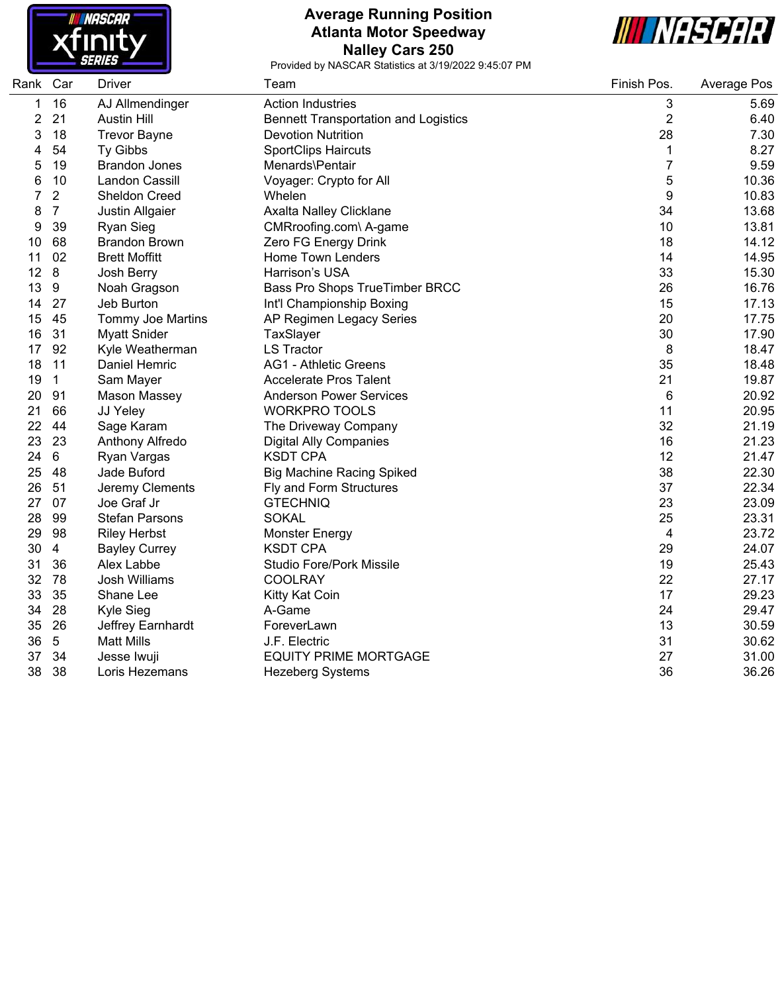

# **Average Running Position Atlanta Motor Speedway Nalley Cars 250**



| Rank | Car             | <b>Driver</b>         | Team                                        | Finish Pos.    | Average Pos |
|------|-----------------|-----------------------|---------------------------------------------|----------------|-------------|
| 1    | 16              | AJ Allmendinger       | <b>Action Industries</b>                    | 3              | 5.69        |
| 2    | 21              | <b>Austin Hill</b>    | <b>Bennett Transportation and Logistics</b> | $\overline{2}$ | 6.40        |
| 3    | 18              | <b>Trevor Bayne</b>   | <b>Devotion Nutrition</b>                   | 28             | 7.30        |
|      | 54              | Ty Gibbs              | <b>SportClips Haircuts</b>                  | $\mathbf 1$    | 8.27        |
| 5    | 19              | <b>Brandon Jones</b>  | Menards\Pentair                             | $\overline{7}$ | 9.59        |
| 6    | 10              | <b>Landon Cassill</b> | Voyager: Crypto for All                     | 5              | 10.36       |
|      | $\overline{2}$  | <b>Sheldon Creed</b>  | Whelen                                      | 9              | 10.83       |
| 8    | $\overline{7}$  | Justin Allgaier       | Axalta Nalley Clicklane                     | 34             | 13.68       |
| 9    | 39              | <b>Ryan Sieg</b>      | CMRroofing.com\ A-game                      | 10             | 13.81       |
| 10   | 68              | <b>Brandon Brown</b>  | Zero FG Energy Drink                        | 18             | 14.12       |
| 11   | 02              | <b>Brett Moffitt</b>  | Home Town Lenders                           | 14             | 14.95       |
| 12   | 8               | Josh Berry            | Harrison's USA                              | 33             | 15.30       |
| 13   | 9               | Noah Gragson          | Bass Pro Shops TrueTimber BRCC              | 26             | 16.76       |
| 14   | 27              | Jeb Burton            | Int'l Championship Boxing                   | 15             | 17.13       |
| 15   | 45              | Tommy Joe Martins     | AP Regimen Legacy Series                    | 20             | 17.75       |
| 16   | 31              | <b>Myatt Snider</b>   | TaxSlayer                                   | 30             | 17.90       |
| 17   | 92              | Kyle Weatherman       | <b>LS Tractor</b>                           | 8              | 18.47       |
| 18   | 11              | Daniel Hemric         | <b>AG1 - Athletic Greens</b>                | 35             | 18.48       |
| 19   | $\mathbf 1$     | Sam Mayer             | <b>Accelerate Pros Talent</b>               | 21             | 19.87       |
| 20   | 91              | Mason Massey          | <b>Anderson Power Services</b>              | 6              | 20.92       |
| 21   | 66              | JJ Yeley              | <b>WORKPRO TOOLS</b>                        | 11             | 20.95       |
| 22   | 44              | Sage Karam            | The Driveway Company                        | 32             | 21.19       |
| 23   | 23              | Anthony Alfredo       | <b>Digital Ally Companies</b>               | 16             | 21.23       |
| 24   | $6\phantom{1}$  | Ryan Vargas           | <b>KSDT CPA</b>                             | 12             | 21.47       |
| 25   | 48              | Jade Buford           | <b>Big Machine Racing Spiked</b>            | 38             | 22.30       |
| 26   | 51              | Jeremy Clements       | Fly and Form Structures                     | 37             | 22.34       |
| 27   | 07              | Joe Graf Jr           | <b>GTECHNIQ</b>                             | 23             | 23.09       |
| 28   | 99              | <b>Stefan Parsons</b> | <b>SOKAL</b>                                | 25             | 23.31       |
| 29   | 98              | <b>Riley Herbst</b>   | <b>Monster Energy</b>                       | 4              | 23.72       |
| 30   | 4               | <b>Bayley Currey</b>  | <b>KSDT CPA</b>                             | 29             | 24.07       |
| 31   | 36              | Alex Labbe            | <b>Studio Fore/Pork Missile</b>             | 19             | 25.43       |
| 32   | 78              | Josh Williams         | <b>COOLRAY</b>                              | 22             | 27.17       |
| 33   | 35              | Shane Lee             | Kitty Kat Coin                              | 17             | 29.23       |
| 34   | 28              | Kyle Sieg             | A-Game                                      | 24             | 29.47       |
| 35   | 26              | Jeffrey Earnhardt     | ForeverLawn                                 | 13             | 30.59       |
| 36   | $5\phantom{.0}$ | <b>Matt Mills</b>     | J.F. Electric                               | 31             | 30.62       |
| 37   | 34              | Jesse Iwuji           | <b>EQUITY PRIME MORTGAGE</b>                | 27             | 31.00       |
| 38   | 38              | Loris Hezemans        | <b>Hezeberg Systems</b>                     | 36             | 36.26       |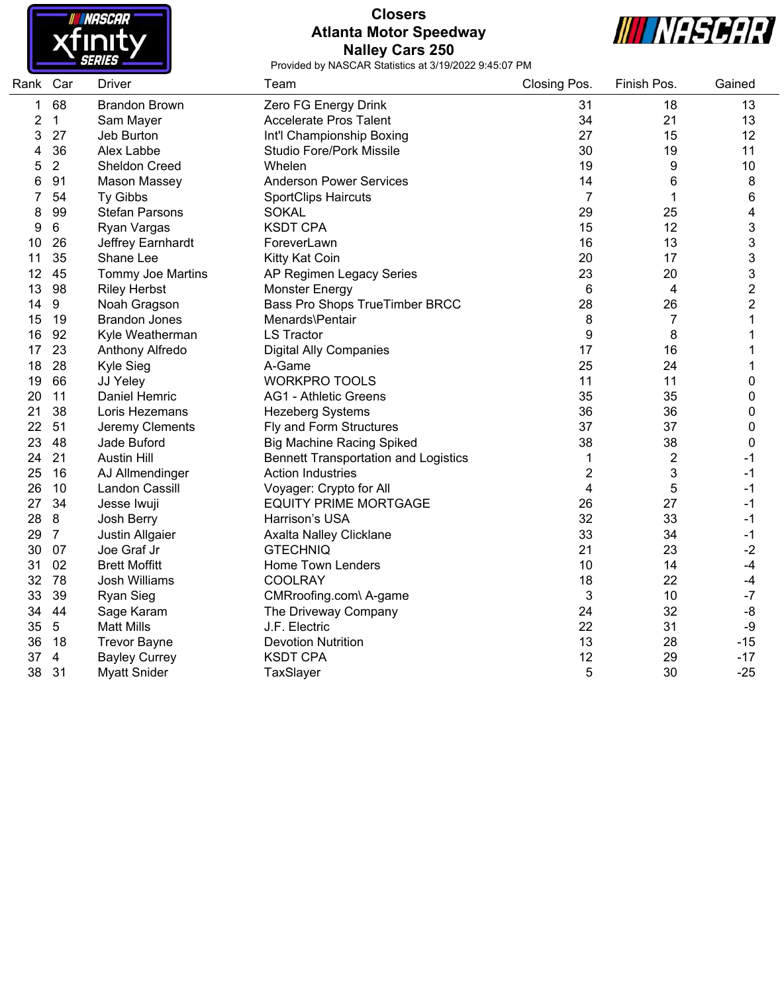

## **Closers Atlanta Motor Speedway Nalley Cars 250**



| Rank | Car             | <b>Driver</b>            | Team                                        | Closing Pos.   | Finish Pos.    | Gained                    |
|------|-----------------|--------------------------|---------------------------------------------|----------------|----------------|---------------------------|
| 1    | 68              | <b>Brandon Brown</b>     | Zero FG Energy Drink                        | 31             | 18             | 13                        |
| 2    | 1               | Sam Mayer                | <b>Accelerate Pros Talent</b>               | 34             | 21             | 13                        |
| 3    | 27              | Jeb Burton               | Int'l Championship Boxing                   | 27             | 15             | 12                        |
| 4    | 36              | Alex Labbe               | <b>Studio Fore/Pork Missile</b>             | 30             | 19             | 11                        |
| 5    | $\overline{2}$  | Sheldon Creed            | Whelen                                      | 19             | 9              | 10                        |
| 6    | 91              | Mason Massey             | <b>Anderson Power Services</b>              | 14             | 6              | 8                         |
| 7    | 54              | Ty Gibbs                 | <b>SportClips Haircuts</b>                  | $\overline{7}$ | 1              | 6                         |
| 8    | 99              | <b>Stefan Parsons</b>    | <b>SOKAL</b>                                | 29             | 25             | 4                         |
| 9    | $\,6\,$         | Ryan Vargas              | <b>KSDT CPA</b>                             | 15             | 12             | $\ensuremath{\mathsf{3}}$ |
| 10   | 26              | Jeffrey Earnhardt        | ForeverLawn                                 | 16             | 13             | 3                         |
| 11   | 35              | Shane Lee                | Kitty Kat Coin                              | 20             | 17             | 3                         |
| 12   | 45              | <b>Tommy Joe Martins</b> | AP Regimen Legacy Series                    | 23             | 20             | 3                         |
| 13   | 98              | <b>Riley Herbst</b>      | <b>Monster Energy</b>                       | 6              | 4              | $\overline{c}$            |
| 14   | 9               | Noah Gragson             | Bass Pro Shops TrueTimber BRCC              | 28             | 26             | $\overline{2}$            |
| 15   | 19              | <b>Brandon Jones</b>     | Menards\Pentair                             | 8              | 7              | 1                         |
| 16   | 92              | Kyle Weatherman          | <b>LS Tractor</b>                           | 9              | 8              | 1                         |
| 17   | 23              | Anthony Alfredo          | <b>Digital Ally Companies</b>               | 17             | 16             | 1                         |
| 18   | 28              | Kyle Sieg                | A-Game                                      | 25             | 24             | 1                         |
| 19   | 66              | JJ Yeley                 | <b>WORKPRO TOOLS</b>                        | 11             | 11             | 0                         |
| 20   | 11              | Daniel Hemric            | <b>AG1 - Athletic Greens</b>                | 35             | 35             | 0                         |
| 21   | 38              | Loris Hezemans           | <b>Hezeberg Systems</b>                     | 36             | 36             | 0                         |
| 22   | 51              | Jeremy Clements          | Fly and Form Structures                     | 37             | 37             | 0                         |
| 23   | 48              | Jade Buford              | <b>Big Machine Racing Spiked</b>            | 38             | 38             | 0                         |
| 24   | 21              | <b>Austin Hill</b>       | <b>Bennett Transportation and Logistics</b> | 1              | $\overline{2}$ | -1                        |
| 25   | 16              | AJ Allmendinger          | <b>Action Industries</b>                    | 2              | 3              | $-1$                      |
| 26   | 10              | Landon Cassill           | Voyager: Crypto for All                     | 4              | 5              | $-1$                      |
| 27   | 34              | Jesse Iwuji              | <b>EQUITY PRIME MORTGAGE</b>                | 26             | 27             | $-1$                      |
| 28   | 8               | Josh Berry               | Harrison's USA                              | 32             | 33             | $-1$                      |
| 29   | $\overline{7}$  | Justin Allgaier          | Axalta Nalley Clicklane                     | 33             | 34             | $-1$                      |
| 30   | 07              | Joe Graf Jr              | <b>GTECHNIQ</b>                             | 21             | 23             | $-2$                      |
| 31   | 02              | <b>Brett Moffitt</b>     | Home Town Lenders                           | 10             | 14             | $-4$                      |
| 32   | 78              | <b>Josh Williams</b>     | <b>COOLRAY</b>                              | 18             | 22             | $-4$                      |
| 33   | 39              | Ryan Sieg                | CMRroofing.com\ A-game                      | 3              | 10             | $-7$                      |
| 34   | 44              | Sage Karam               | The Driveway Company                        | 24             | 32             | $-8$                      |
| 35   | $5\phantom{.0}$ | <b>Matt Mills</b>        | J.F. Electric                               | 22             | 31             | -9                        |
| 36   | 18              | <b>Trevor Bayne</b>      | <b>Devotion Nutrition</b>                   | 13             | 28             | $-15$                     |
| 37   | 4               | <b>Bayley Currey</b>     | <b>KSDT CPA</b>                             | 12             | 29             | $-17$                     |
| 38   | 31              | <b>Myatt Snider</b>      | TaxSlayer                                   | 5              | 30             | $-25$                     |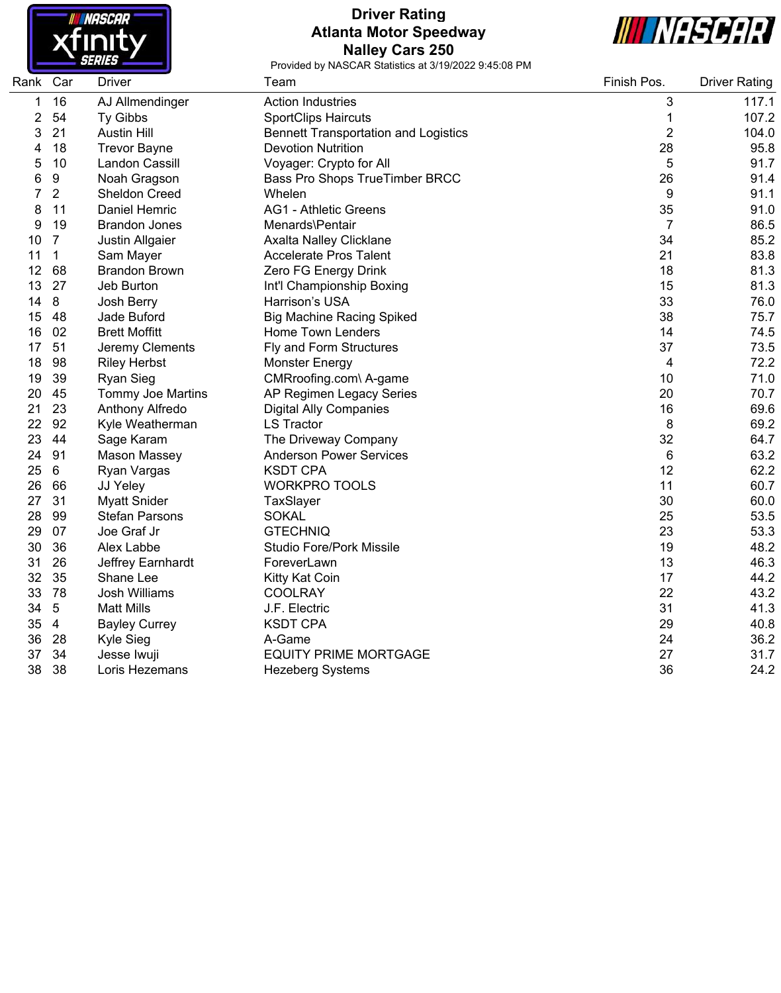

## **Driver Rating Atlanta Motor Speedway Nalley Cars 250**



| Rank Car |                | <b>Driver</b>         | Team                                        | Finish Pos.    | <b>Driver Rating</b> |
|----------|----------------|-----------------------|---------------------------------------------|----------------|----------------------|
| 1        | 16             | AJ Allmendinger       | <b>Action Industries</b>                    | 3              | 117.1                |
| 2        | 54             | Ty Gibbs              | <b>SportClips Haircuts</b>                  | 1              | 107.2                |
| 3        | 21             | <b>Austin Hill</b>    | <b>Bennett Transportation and Logistics</b> | $\overline{2}$ | 104.0                |
| 4        | 18             | <b>Trevor Bayne</b>   | <b>Devotion Nutrition</b>                   | 28             | 95.8                 |
| 5        | 10             | Landon Cassill        | Voyager: Crypto for All                     | 5              | 91.7                 |
| 6        | 9              | Noah Gragson          | Bass Pro Shops TrueTimber BRCC              | 26             | 91.4                 |
| 7        | $\overline{2}$ | <b>Sheldon Creed</b>  | Whelen                                      | 9              | 91.1                 |
| 8        | 11             | Daniel Hemric         | <b>AG1 - Athletic Greens</b>                | 35             | 91.0                 |
| 9        | 19             | <b>Brandon Jones</b>  | Menards\Pentair                             | $\overline{7}$ | 86.5                 |
| 10       | $\overline{7}$ | Justin Allgaier       | Axalta Nalley Clicklane                     | 34             | 85.2                 |
| 11       | 1              | Sam Mayer             | <b>Accelerate Pros Talent</b>               | 21             | 83.8                 |
| 12       | 68             | <b>Brandon Brown</b>  | Zero FG Energy Drink                        | 18             | 81.3                 |
| 13       | 27             | Jeb Burton            | Int'l Championship Boxing                   | 15             | 81.3                 |
| 14       | 8              | Josh Berry            | Harrison's USA                              | 33             | 76.0                 |
| 15       | 48             | Jade Buford           | <b>Big Machine Racing Spiked</b>            | 38             | 75.7                 |
| 16       | 02             | <b>Brett Moffitt</b>  | Home Town Lenders                           | 14             | 74.5                 |
| 17       | 51             | Jeremy Clements       | Fly and Form Structures                     | 37             | 73.5                 |
| 18       | 98             | <b>Riley Herbst</b>   | <b>Monster Energy</b>                       | 4              | 72.2                 |
| 19       | 39             | <b>Ryan Sieg</b>      | CMRroofing.com\ A-game                      | 10             | 71.0                 |
| 20       | 45             | Tommy Joe Martins     | AP Regimen Legacy Series                    | 20             | 70.7                 |
| 21       | 23             | Anthony Alfredo       | <b>Digital Ally Companies</b>               | 16             | 69.6                 |
| 22       | 92             | Kyle Weatherman       | <b>LS Tractor</b>                           | 8              | 69.2                 |
| 23       | 44             | Sage Karam            | The Driveway Company                        | 32             | 64.7                 |
| 24       | 91             | Mason Massey          | <b>Anderson Power Services</b>              | 6              | 63.2                 |
| 25       | 6              | Ryan Vargas           | <b>KSDT CPA</b>                             | 12             | 62.2                 |
| 26       | 66             | JJ Yeley              | <b>WORKPRO TOOLS</b>                        | 11             | 60.7                 |
| 27       | 31             | <b>Myatt Snider</b>   | TaxSlayer                                   | 30             | 60.0                 |
| 28       | 99             | <b>Stefan Parsons</b> | <b>SOKAL</b>                                | 25             | 53.5                 |
| 29       | 07             | Joe Graf Jr           | <b>GTECHNIQ</b>                             | 23             | 53.3                 |
| 30       | 36             | Alex Labbe            | <b>Studio Fore/Pork Missile</b>             | 19             | 48.2                 |
| 31       | 26             | Jeffrey Earnhardt     | ForeverLawn                                 | 13             | 46.3                 |
| 32       | 35             | Shane Lee             | Kitty Kat Coin                              | 17             | 44.2                 |
| 33       | 78             | <b>Josh Williams</b>  | <b>COOLRAY</b>                              | 22             | 43.2                 |
| 34       | 5              | <b>Matt Mills</b>     | J.F. Electric                               | 31             | 41.3                 |
| 35       | $\overline{4}$ | <b>Bayley Currey</b>  | <b>KSDT CPA</b>                             | 29             | 40.8                 |
| 36       | 28             | Kyle Sieg             | A-Game                                      | 24             | 36.2                 |
| 37       | 34             | Jesse Iwuji           | <b>EQUITY PRIME MORTGAGE</b>                | 27             | 31.7                 |
| 38       | 38             | Loris Hezemans        | <b>Hezeberg Systems</b>                     | 36             | 24.2                 |
|          |                |                       |                                             |                |                      |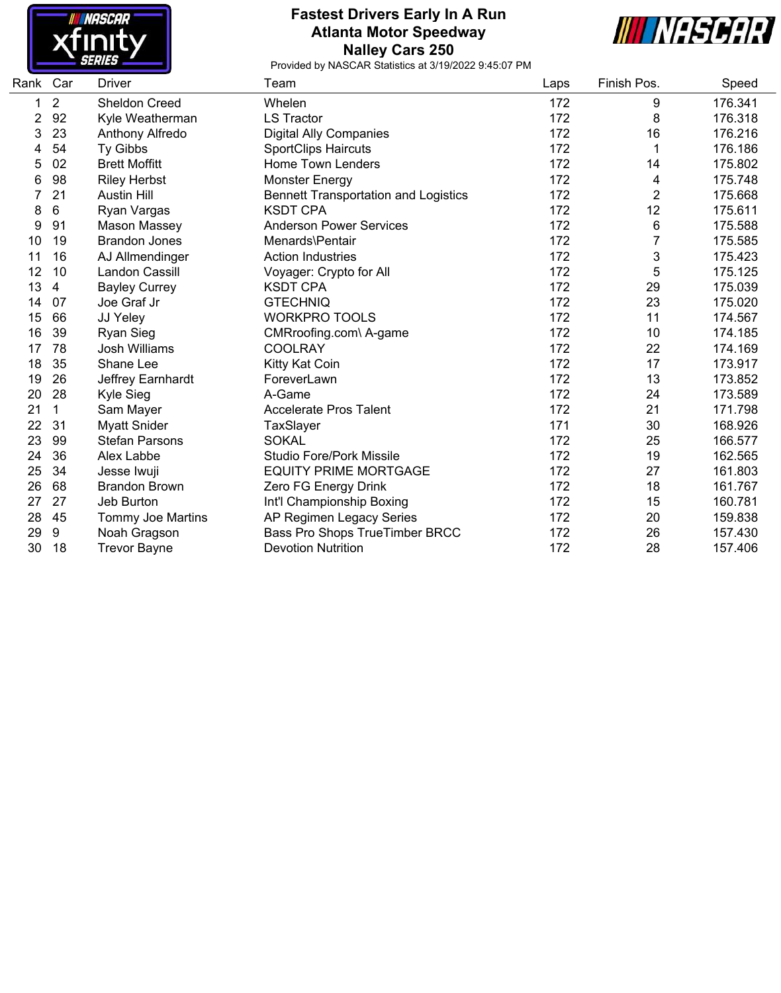

## **Fastest Drivers Early In A Run Atlanta Motor Speedway Nalley Cars 250**



| Rank | Car            | Driver                   | Team                                        | Laps | Finish Pos.    | Speed   |
|------|----------------|--------------------------|---------------------------------------------|------|----------------|---------|
| 1    | $\overline{2}$ | <b>Sheldon Creed</b>     | Whelen                                      | 172  | 9              | 176.341 |
| 2    | 92             | Kyle Weatherman          | <b>LS Tractor</b>                           | 172  | 8              | 176.318 |
| 3    | 23             | Anthony Alfredo          | <b>Digital Ally Companies</b>               | 172  | 16             | 176.216 |
| 4    | 54             | Ty Gibbs                 | <b>SportClips Haircuts</b>                  | 172  | 1              | 176.186 |
| 5    | 02             | <b>Brett Moffitt</b>     | <b>Home Town Lenders</b>                    | 172  | 14             | 175.802 |
| 6    | 98             | <b>Riley Herbst</b>      | <b>Monster Energy</b>                       | 172  | 4              | 175.748 |
|      | 21             | <b>Austin Hill</b>       | <b>Bennett Transportation and Logistics</b> | 172  | $\overline{2}$ | 175.668 |
| 8    | 6              | Ryan Vargas              | <b>KSDT CPA</b>                             | 172  | 12             | 175.611 |
| 9    | 91             | Mason Massey             | <b>Anderson Power Services</b>              | 172  | 6              | 175.588 |
| 10   | 19             | <b>Brandon Jones</b>     | Menards\Pentair                             | 172  | 7              | 175.585 |
| 11   | 16             | AJ Allmendinger          | <b>Action Industries</b>                    | 172  | 3              | 175.423 |
| 12   | 10             | Landon Cassill           | Voyager: Crypto for All                     | 172  | 5              | 175.125 |
| 13   | 4              | <b>Bayley Currey</b>     | <b>KSDT CPA</b>                             | 172  | 29             | 175.039 |
| 14   | 07             | Joe Graf Jr              | <b>GTECHNIQ</b>                             | 172  | 23             | 175.020 |
| 15   | 66             | JJ Yeley                 | <b>WORKPRO TOOLS</b>                        | 172  | 11             | 174.567 |
| 16   | 39             | <b>Ryan Sieg</b>         | CMRroofing.com\ A-game                      | 172  | 10             | 174.185 |
| 17   | 78             | <b>Josh Williams</b>     | <b>COOLRAY</b>                              | 172  | 22             | 174.169 |
| 18   | 35             | Shane Lee                | Kitty Kat Coin                              | 172  | 17             | 173.917 |
| 19   | 26             | Jeffrey Earnhardt        | ForeverLawn                                 | 172  | 13             | 173.852 |
| 20   | 28             | Kyle Sieg                | A-Game                                      | 172  | 24             | 173.589 |
| 21   | $\mathbf{1}$   | Sam Mayer                | <b>Accelerate Pros Talent</b>               | 172  | 21             | 171.798 |
| 22   | 31             | <b>Myatt Snider</b>      | TaxSlayer                                   | 171  | 30             | 168.926 |
| 23   | 99             | <b>Stefan Parsons</b>    | <b>SOKAL</b>                                | 172  | 25             | 166.577 |
| 24   | 36             | Alex Labbe               | <b>Studio Fore/Pork Missile</b>             | 172  | 19             | 162.565 |
| 25   | 34             | Jesse Iwuji              | <b>EQUITY PRIME MORTGAGE</b>                | 172  | 27             | 161.803 |
| 26   | 68             | <b>Brandon Brown</b>     | Zero FG Energy Drink                        | 172  | 18             | 161.767 |
| 27   | 27             | Jeb Burton               | Int'l Championship Boxing                   | 172  | 15             | 160.781 |
| 28   | 45             | <b>Tommy Joe Martins</b> | AP Regimen Legacy Series                    | 172  | 20             | 159.838 |
| 29   | 9              | Noah Gragson             | Bass Pro Shops TrueTimber BRCC              | 172  | 26             | 157.430 |
| 30   | 18             | <b>Trevor Bayne</b>      | <b>Devotion Nutrition</b>                   | 172  | 28             | 157.406 |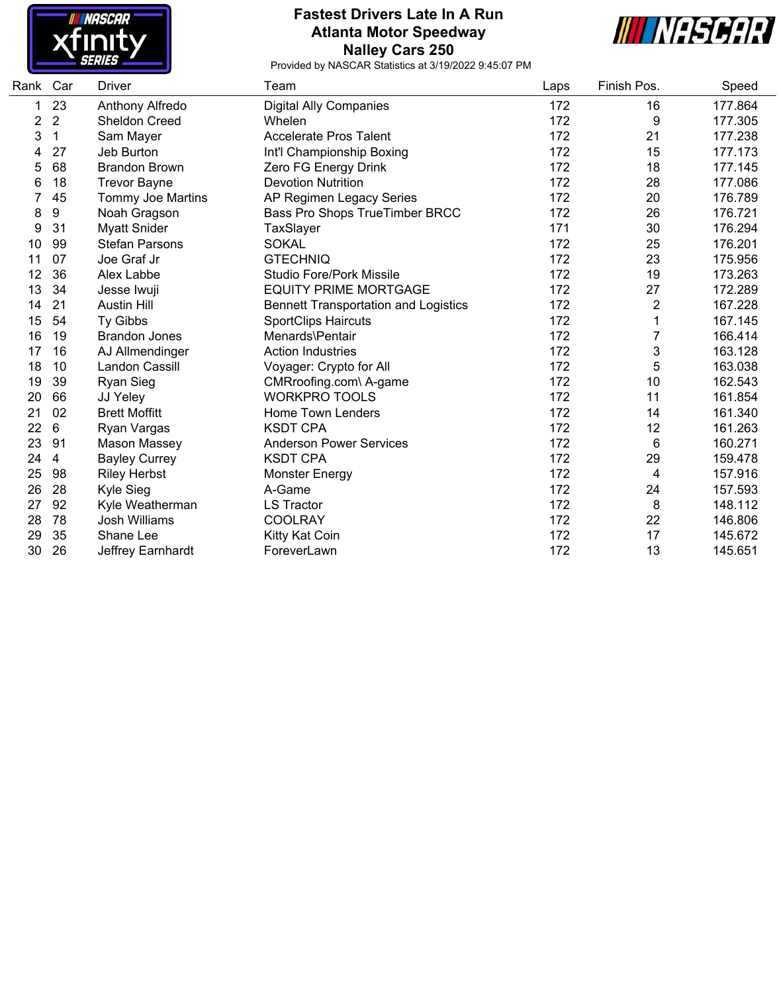

## **Fastest Drivers Late In A Run Atlanta Motor Speedway Nalley Cars 250**



| Rank | Car | Driver                | Team                                        | Laps | Finish Pos.    | Speed   |
|------|-----|-----------------------|---------------------------------------------|------|----------------|---------|
| 1    | 23  | Anthony Alfredo       | <b>Digital Ally Companies</b>               | 172  | 16             | 177.864 |
| 2    | 2   | Sheldon Creed         | Whelen                                      | 172  | 9              | 177.305 |
| 3    | 1   | Sam Mayer             | <b>Accelerate Pros Talent</b>               | 172  | 21             | 177.238 |
| 4    | 27  | Jeb Burton            | Int'l Championship Boxing                   | 172  | 15             | 177.173 |
| 5    | 68  | <b>Brandon Brown</b>  | Zero FG Energy Drink                        | 172  | 18             | 177.145 |
| 6    | 18  | <b>Trevor Bayne</b>   | <b>Devotion Nutrition</b>                   | 172  | 28             | 177.086 |
|      | 45  | Tommy Joe Martins     | AP Regimen Legacy Series                    | 172  | 20             | 176.789 |
| 8    | 9   | Noah Gragson          | Bass Pro Shops TrueTimber BRCC              | 172  | 26             | 176.721 |
| 9    | 31  | <b>Myatt Snider</b>   | TaxSlayer                                   | 171  | 30             | 176.294 |
| 10   | 99  | <b>Stefan Parsons</b> | <b>SOKAL</b>                                | 172  | 25             | 176.201 |
| 11   | 07  | Joe Graf Jr           | <b>GTECHNIQ</b>                             | 172  | 23             | 175.956 |
| 12   | 36  | Alex Labbe            | <b>Studio Fore/Pork Missile</b>             | 172  | 19             | 173.263 |
| 13   | 34  | Jesse Iwuji           | <b>EQUITY PRIME MORTGAGE</b>                | 172  | 27             | 172.289 |
| 14   | 21  | <b>Austin Hill</b>    | <b>Bennett Transportation and Logistics</b> | 172  | $\overline{2}$ | 167.228 |
| 15   | 54  | Ty Gibbs              | <b>SportClips Haircuts</b>                  | 172  |                | 167.145 |
| 16   | 19  | <b>Brandon Jones</b>  | Menards\Pentair                             | 172  | 7              | 166.414 |
| 17   | 16  | AJ Allmendinger       | <b>Action Industries</b>                    | 172  | 3              | 163.128 |
| 18   | 10  | Landon Cassill        | Voyager: Crypto for All                     | 172  | 5              | 163.038 |
| 19   | 39  | <b>Ryan Sieg</b>      | CMRroofing.com\ A-game                      | 172  | 10             | 162.543 |
| 20   | 66  | JJ Yeley              | <b>WORKPRO TOOLS</b>                        | 172  | 11             | 161.854 |
| 21   | 02  | <b>Brett Moffitt</b>  | <b>Home Town Lenders</b>                    | 172  | 14             | 161.340 |
| 22   | 6   | Ryan Vargas           | <b>KSDT CPA</b>                             | 172  | 12             | 161.263 |
| 23   | 91  | Mason Massey          | <b>Anderson Power Services</b>              | 172  | 6              | 160.271 |
| 24   | 4   | <b>Bayley Currey</b>  | <b>KSDT CPA</b>                             | 172  | 29             | 159.478 |
| 25   | 98  | <b>Riley Herbst</b>   | <b>Monster Energy</b>                       | 172  | 4              | 157.916 |
| 26   | 28  | Kyle Sieg             | A-Game                                      | 172  | 24             | 157.593 |
| 27   | 92  | Kyle Weatherman       | <b>LS Tractor</b>                           | 172  | 8              | 148.112 |
| 28   | 78  | <b>Josh Williams</b>  | <b>COOLRAY</b>                              | 172  | 22             | 146.806 |
| 29   | 35  | Shane Lee             | Kitty Kat Coin                              | 172  | 17             | 145.672 |
| 30   | 26  | Jeffrey Earnhardt     | ForeverLawn                                 | 172  | 13             | 145.651 |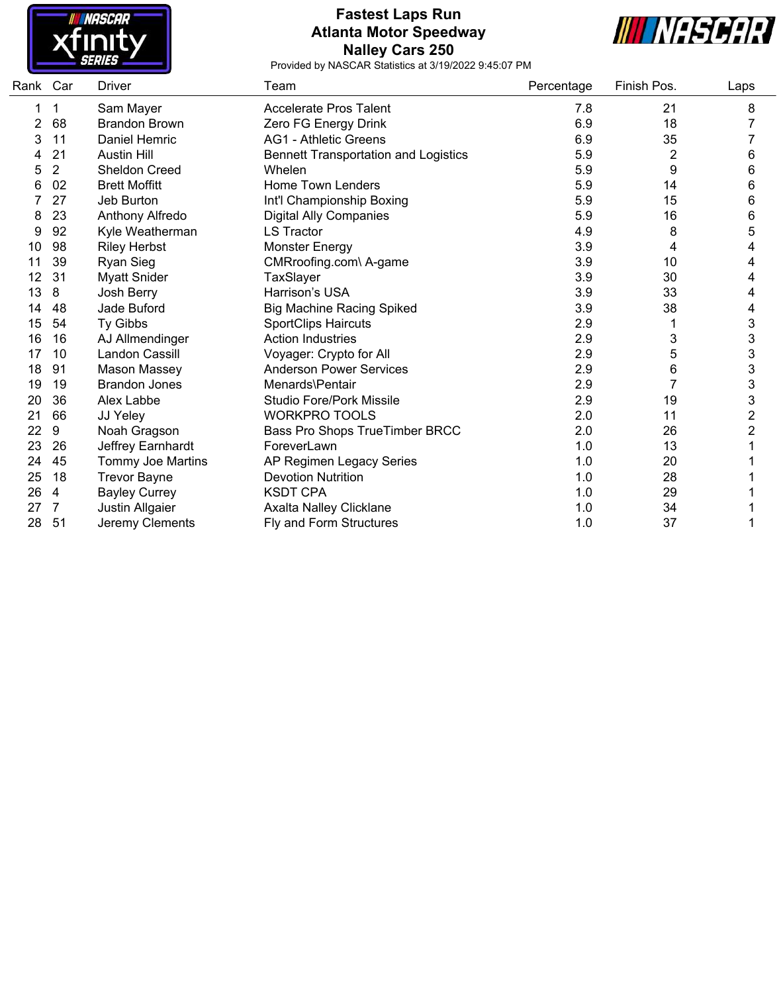

### **Fastest Laps Run Atlanta Motor Speedway Nalley Cars 250**



| Rank Car |                | Driver                | Team                                        | Percentage | Finish Pos.    | Laps                      |
|----------|----------------|-----------------------|---------------------------------------------|------------|----------------|---------------------------|
|          | 1              | Sam Mayer             | <b>Accelerate Pros Talent</b>               | 7.8        | 21             | 8                         |
| 2        | 68             | <b>Brandon Brown</b>  | Zero FG Energy Drink                        | 6.9        | 18             |                           |
| 3        | 11             | Daniel Hemric         | <b>AG1 - Athletic Greens</b>                | 6.9        | 35             |                           |
|          | 21             | <b>Austin Hill</b>    | <b>Bennett Transportation and Logistics</b> | 5.9        | $\overline{2}$ | 6                         |
| 5        | $\overline{2}$ | Sheldon Creed         | Whelen                                      | 5.9        | 9              | 6                         |
| 6        | 02             | <b>Brett Moffitt</b>  | Home Town Lenders                           | 5.9        | 14             | 6                         |
|          | 27             | Jeb Burton            | Int'l Championship Boxing                   | 5.9        | 15             | 6                         |
| 8        | 23             | Anthony Alfredo       | <b>Digital Ally Companies</b>               | 5.9        | 16             | 6                         |
| 9        | 92             | Kyle Weatherman       | <b>LS Tractor</b>                           | 4.9        | 8              | 5                         |
| 10       | 98             | <b>Riley Herbst</b>   | <b>Monster Energy</b>                       | 3.9        | 4              | 4                         |
| 11       | 39             | <b>Ryan Sieg</b>      | CMRroofing.com\ A-game                      | 3.9        | 10             | 4                         |
| 12       | 31             | <b>Myatt Snider</b>   | TaxSlayer                                   | 3.9        | 30             | 4                         |
| 13       | 8              | Josh Berry            | Harrison's USA                              | 3.9        | 33             | 4                         |
| 14       | 48             | Jade Buford           | <b>Big Machine Racing Spiked</b>            | 3.9        | 38             | 4                         |
| 15       | 54             | Ty Gibbs              | <b>SportClips Haircuts</b>                  | 2.9        |                | 3                         |
| 16       | 16             | AJ Allmendinger       | <b>Action Industries</b>                    | 2.9        | 3              | $\mathbf 3$               |
| 17       | 10             | <b>Landon Cassill</b> | Voyager: Crypto for All                     | 2.9        | 5              | $\ensuremath{\mathsf{3}}$ |
| 18       | 91             | <b>Mason Massey</b>   | <b>Anderson Power Services</b>              | 2.9        | 6              | $\ensuremath{\mathsf{3}}$ |
| 19       | 19             | <b>Brandon Jones</b>  | Menards\Pentair                             | 2.9        |                | $\ensuremath{\mathsf{3}}$ |
| 20       | 36             | Alex Labbe            | <b>Studio Fore/Pork Missile</b>             | 2.9        | 19             | $\ensuremath{\mathsf{3}}$ |
| 21       | 66             | JJ Yeley              | <b>WORKPRO TOOLS</b>                        | 2.0        | 11             | $\overline{\mathbf{c}}$   |
| 22       | 9              | Noah Gragson          | Bass Pro Shops TrueTimber BRCC              | 2.0        | 26             | $\overline{c}$            |
| 23       | 26             | Jeffrey Earnhardt     | ForeverLawn                                 | 1.0        | 13             |                           |
| 24       | 45             | Tommy Joe Martins     | AP Regimen Legacy Series                    | 1.0        | 20             |                           |
| 25       | 18             | <b>Trevor Bayne</b>   | <b>Devotion Nutrition</b>                   | 1.0        | 28             |                           |
| 26       | 4              | <b>Bayley Currey</b>  | <b>KSDT CPA</b>                             | 1.0        | 29             |                           |
| 27       | 7              | Justin Allgaier       | Axalta Nalley Clicklane                     | 1.0        | 34             |                           |
| 28       | 51             | Jeremy Clements       | Fly and Form Structures                     | 1.0        | 37             |                           |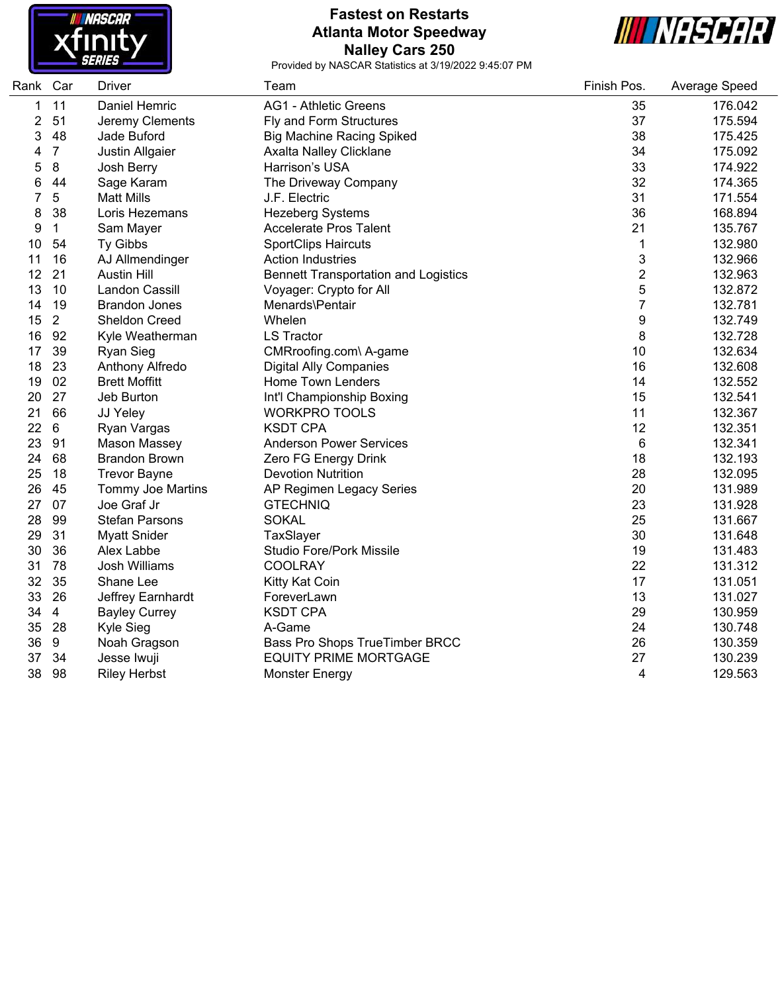

#### **Fastest on Restarts Atlanta Motor Speedway Nalley Cars 250**



| Rank | Car            | <b>Driver</b>            | Team                                        | Finish Pos.              | Average Speed |
|------|----------------|--------------------------|---------------------------------------------|--------------------------|---------------|
| 1    | 11             | Daniel Hemric            | <b>AG1 - Athletic Greens</b>                | 35                       | 176.042       |
| 2    | 51             | Jeremy Clements          | Fly and Form Structures                     | 37                       | 175.594       |
| 3    | 48             | Jade Buford              | <b>Big Machine Racing Spiked</b>            | 38                       | 175.425       |
| 4    | $\overline{7}$ | Justin Allgaier          | Axalta Nalley Clicklane                     | 34                       | 175.092       |
| 5    | $\bf 8$        | Josh Berry               | Harrison's USA                              | 33                       | 174.922       |
| 6    | 44             | Sage Karam               | The Driveway Company                        | 32                       | 174.365       |
| 7    | $\sqrt{5}$     | <b>Matt Mills</b>        | J.F. Electric                               | 31                       | 171.554       |
| 8    | 38             | Loris Hezemans           | <b>Hezeberg Systems</b>                     | 36                       | 168.894       |
| 9    | 1              | Sam Mayer                | <b>Accelerate Pros Talent</b>               | 21                       | 135.767       |
| 10   | 54             | Ty Gibbs                 | <b>SportClips Haircuts</b>                  | $\mathbf 1$              | 132.980       |
| 11   | 16             | AJ Allmendinger          | <b>Action Industries</b>                    | 3                        | 132.966       |
| 12   | 21             | <b>Austin Hill</b>       | <b>Bennett Transportation and Logistics</b> | $\overline{\mathbf{c}}$  | 132.963       |
| 13   | 10             | Landon Cassill           | Voyager: Crypto for All                     | 5                        | 132.872       |
| 14   | 19             | <b>Brandon Jones</b>     | Menards\Pentair                             | $\overline{\mathcal{I}}$ | 132.781       |
| 15   | $\overline{2}$ | <b>Sheldon Creed</b>     | Whelen                                      | $\boldsymbol{9}$         | 132.749       |
| 16   | 92             | Kyle Weatherman          | <b>LS Tractor</b>                           | 8                        | 132.728       |
| 17   | 39             | <b>Ryan Sieg</b>         | CMRroofing.com\ A-game                      | 10                       | 132.634       |
| 18   | 23             | Anthony Alfredo          | <b>Digital Ally Companies</b>               | 16                       | 132.608       |
| 19   | 02             | <b>Brett Moffitt</b>     | Home Town Lenders                           | 14                       | 132.552       |
| 20   | 27             | Jeb Burton               | Int'l Championship Boxing                   | 15                       | 132.541       |
| 21   | 66             | JJ Yeley                 | <b>WORKPRO TOOLS</b>                        | 11                       | 132.367       |
| 22   | 6              | Ryan Vargas              | <b>KSDT CPA</b>                             | 12                       | 132.351       |
| 23   | 91             | Mason Massey             | <b>Anderson Power Services</b>              | $\,6$                    | 132.341       |
| 24   | 68             | <b>Brandon Brown</b>     | Zero FG Energy Drink                        | 18                       | 132.193       |
| 25   | 18             | <b>Trevor Bayne</b>      | <b>Devotion Nutrition</b>                   | 28                       | 132.095       |
| 26   | 45             | <b>Tommy Joe Martins</b> | AP Regimen Legacy Series                    | 20                       | 131.989       |
| 27   | 07             | Joe Graf Jr              | <b>GTECHNIQ</b>                             | 23                       | 131.928       |
| 28   | 99             | <b>Stefan Parsons</b>    | <b>SOKAL</b>                                | 25                       | 131.667       |
| 29   | 31             | <b>Myatt Snider</b>      | TaxSlayer                                   | 30                       | 131.648       |
| 30   | 36             | Alex Labbe               | <b>Studio Fore/Pork Missile</b>             | 19                       | 131.483       |
| 31   | 78             | <b>Josh Williams</b>     | <b>COOLRAY</b>                              | 22                       | 131.312       |
| 32   | 35             | Shane Lee                | Kitty Kat Coin                              | 17                       | 131.051       |
| 33   | 26             | Jeffrey Earnhardt        | ForeverLawn                                 | 13                       | 131.027       |
| 34   | $\overline{4}$ | <b>Bayley Currey</b>     | <b>KSDT CPA</b>                             | 29                       | 130.959       |
| 35   | 28             | Kyle Sieg                | A-Game                                      | 24                       | 130.748       |
| 36   | $9\,$          | Noah Gragson             | Bass Pro Shops TrueTimber BRCC              | 26                       | 130.359       |
| 37   | 34             | Jesse Iwuji              | <b>EQUITY PRIME MORTGAGE</b>                | 27                       | 130.239       |
| 38   | 98             | <b>Riley Herbst</b>      | <b>Monster Energy</b>                       | 4                        | 129.563       |
|      |                |                          |                                             |                          |               |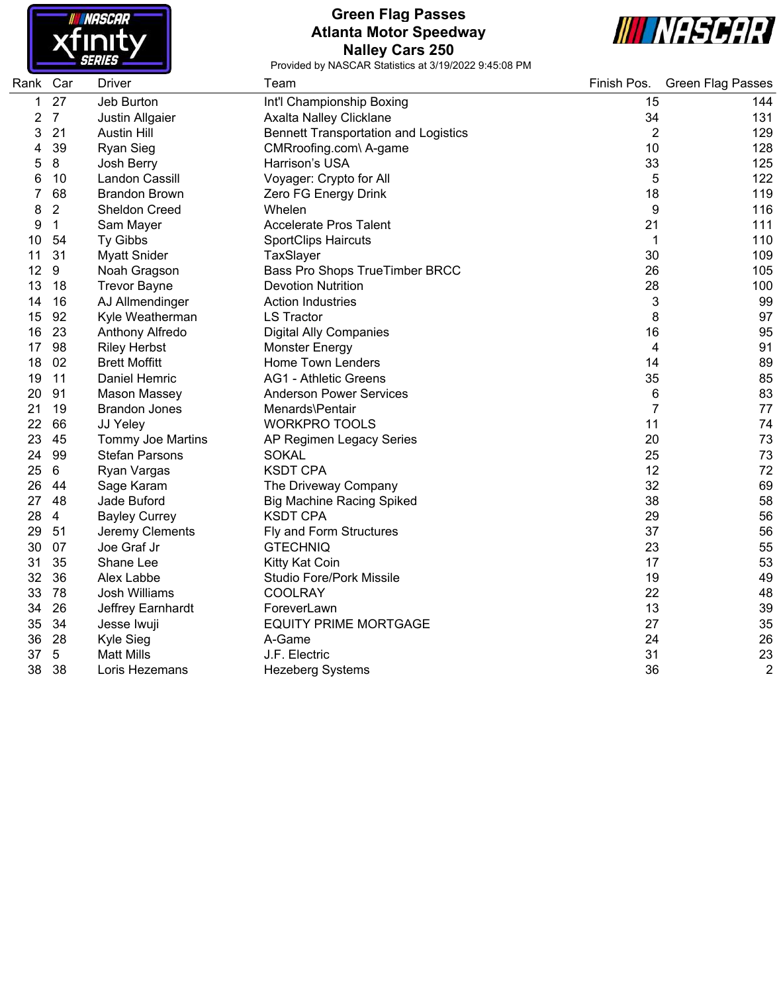

### **Green Flag Passes Atlanta Motor Speedway Nalley Cars 250**



| Rank Car |                | <b>Driver</b>            | Team                                        | Finish Pos.    | <b>Green Flag Passes</b> |
|----------|----------------|--------------------------|---------------------------------------------|----------------|--------------------------|
| 1        | 27             | Jeb Burton               | Int'l Championship Boxing                   | 15             | 144                      |
| 2        | $\overline{7}$ | Justin Allgaier          | Axalta Nalley Clicklane                     | 34             | 131                      |
| 3        | 21             | <b>Austin Hill</b>       | <b>Bennett Transportation and Logistics</b> | $\overline{2}$ | 129                      |
| 4        | 39             | <b>Ryan Sieg</b>         | CMRroofing.com\ A-game                      | 10             | 128                      |
| 5        | 8              | Josh Berry               | Harrison's USA                              | 33             | 125                      |
| 6        | 10             | Landon Cassill           | Voyager: Crypto for All                     | 5              | 122                      |
| 7        | 68             | <b>Brandon Brown</b>     | Zero FG Energy Drink                        | 18             | 119                      |
| 8        | $\overline{2}$ | Sheldon Creed            | Whelen                                      | 9              | 116                      |
| 9        | $\mathbf{1}$   | Sam Mayer                | <b>Accelerate Pros Talent</b>               | 21             | 111                      |
| 10       | 54             | Ty Gibbs                 | <b>SportClips Haircuts</b>                  | 1              | 110                      |
| 11       | 31             | <b>Myatt Snider</b>      | TaxSlayer                                   | 30             | 109                      |
| 12       | 9              | Noah Gragson             | Bass Pro Shops TrueTimber BRCC              | 26             | 105                      |
| 13       | 18             | <b>Trevor Bayne</b>      | <b>Devotion Nutrition</b>                   | 28             | 100                      |
| 14       | 16             | AJ Allmendinger          | <b>Action Industries</b>                    | 3              | 99                       |
| 15       | 92             | Kyle Weatherman          | <b>LS Tractor</b>                           | 8              | 97                       |
| 16       | 23             | Anthony Alfredo          | <b>Digital Ally Companies</b>               | 16             | 95                       |
| 17       | 98             | <b>Riley Herbst</b>      | <b>Monster Energy</b>                       | 4              | 91                       |
| 18       | 02             | <b>Brett Moffitt</b>     | Home Town Lenders                           | 14             | 89                       |
| 19       | 11             | Daniel Hemric            | <b>AG1 - Athletic Greens</b>                | 35             | 85                       |
| 20       | 91             | Mason Massey             | <b>Anderson Power Services</b>              | 6              | 83                       |
| 21       | 19             | <b>Brandon Jones</b>     | Menards\Pentair                             | 7              | 77                       |
| 22       | 66             | JJ Yeley                 | <b>WORKPRO TOOLS</b>                        | 11             | 74                       |
| 23       | 45             | <b>Tommy Joe Martins</b> | AP Regimen Legacy Series                    | 20             | 73                       |
| 24       | 99             | <b>Stefan Parsons</b>    | <b>SOKAL</b>                                | 25             | 73                       |
| 25       | 6              | Ryan Vargas              | <b>KSDT CPA</b>                             | 12             | 72                       |
| 26       | 44             | Sage Karam               | The Driveway Company                        | 32             | 69                       |
| 27       | 48             | Jade Buford              | <b>Big Machine Racing Spiked</b>            | 38             | 58                       |
| 28       | $\overline{4}$ | <b>Bayley Currey</b>     | <b>KSDT CPA</b>                             | 29             | 56                       |
| 29       | 51             | Jeremy Clements          | Fly and Form Structures                     | 37             | 56                       |
| 30       | 07             | Joe Graf Jr              | <b>GTECHNIQ</b>                             | 23             | 55                       |
| 31       | 35             | Shane Lee                | Kitty Kat Coin                              | 17             | 53                       |
| 32       | 36             | Alex Labbe               | Studio Fore/Pork Missile                    | 19             | 49                       |
| 33       | 78             | <b>Josh Williams</b>     | <b>COOLRAY</b>                              | 22             | 48                       |
| 34       | 26             | Jeffrey Earnhardt        | ForeverLawn                                 | 13             | 39                       |
| 35       | 34             | Jesse Iwuji              | <b>EQUITY PRIME MORTGAGE</b>                | 27             | 35                       |
| 36       | 28             | Kyle Sieg                | A-Game                                      | 24             | 26                       |
| 37       | 5              | <b>Matt Mills</b>        | J.F. Electric                               | 31             | 23                       |
| 38       | 38             | Loris Hezemans           | <b>Hezeberg Systems</b>                     | 36             | $\overline{2}$           |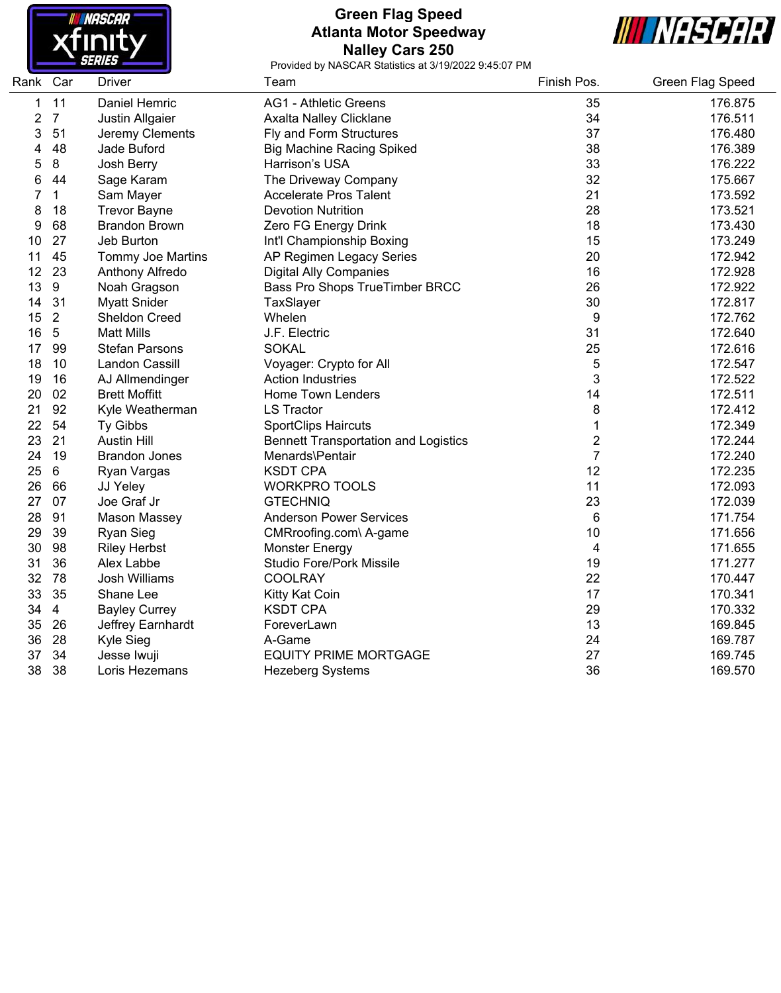

## **Green Flag Speed Atlanta Motor Speedway Nalley Cars 250**



| Rank Car |                | Driver                 | Team                                        | Finish Pos.    | <b>Green Flag Speed</b> |
|----------|----------------|------------------------|---------------------------------------------|----------------|-------------------------|
| 1        | 11             | Daniel Hemric          | <b>AG1 - Athletic Greens</b>                | 35             | 176.875                 |
| 2        | $\overline{7}$ | <b>Justin Allgaier</b> | Axalta Nalley Clicklane                     | 34             | 176.511                 |
| 3        | 51             | Jeremy Clements        | Fly and Form Structures                     | 37             | 176.480                 |
| 4        | 48             | Jade Buford            | <b>Big Machine Racing Spiked</b>            | 38             | 176.389                 |
| 5        | 8              | Josh Berry             | Harrison's USA                              | 33             | 176.222                 |
| 6        | 44             | Sage Karam             | The Driveway Company                        | 32             | 175.667                 |
| 7        | $\mathbf 1$    | Sam Mayer              | <b>Accelerate Pros Talent</b>               | 21             | 173.592                 |
| 8        | 18             | <b>Trevor Bayne</b>    | <b>Devotion Nutrition</b>                   | 28             | 173.521                 |
| 9        | 68             | <b>Brandon Brown</b>   | Zero FG Energy Drink                        | 18             | 173.430                 |
| 10       | 27             | Jeb Burton             | Int'l Championship Boxing                   | 15             | 173.249                 |
| 11       | 45             | Tommy Joe Martins      | AP Regimen Legacy Series                    | 20             | 172.942                 |
| 12       | 23             | Anthony Alfredo        | <b>Digital Ally Companies</b>               | 16             | 172.928                 |
| 13       | 9              | Noah Gragson           | Bass Pro Shops TrueTimber BRCC              | 26             | 172.922                 |
| 14       | 31             | <b>Myatt Snider</b>    | TaxSlayer                                   | 30             | 172.817                 |
| 15       | $\overline{2}$ | Sheldon Creed          | Whelen                                      | 9              | 172.762                 |
| 16       | 5              | <b>Matt Mills</b>      | J.F. Electric                               | 31             | 172.640                 |
| 17       | 99             | Stefan Parsons         | <b>SOKAL</b>                                | 25             | 172.616                 |
| 18       | 10             | Landon Cassill         | Voyager: Crypto for All                     | 5              | 172.547                 |
| 19       | 16             | AJ Allmendinger        | <b>Action Industries</b>                    | 3              | 172.522                 |
| 20       | 02             | <b>Brett Moffitt</b>   | Home Town Lenders                           | 14             | 172.511                 |
| 21       | 92             | Kyle Weatherman        | <b>LS Tractor</b>                           | 8              | 172.412                 |
| 22       | 54             | Ty Gibbs               | <b>SportClips Haircuts</b>                  | 1              | 172.349                 |
| 23       | 21             | <b>Austin Hill</b>     | <b>Bennett Transportation and Logistics</b> | $\mathbf 2$    | 172.244                 |
| 24       | 19             | <b>Brandon Jones</b>   | Menards\Pentair                             | $\overline{7}$ | 172.240                 |
| 25       | $\,6\,$        | Ryan Vargas            | <b>KSDT CPA</b>                             | 12             | 172.235                 |
| 26       | 66             | JJ Yeley               | <b>WORKPRO TOOLS</b>                        | 11             | 172.093                 |
| 27       | 07             | Joe Graf Jr            | <b>GTECHNIQ</b>                             | 23             | 172.039                 |
| 28       | 91             | Mason Massey           | <b>Anderson Power Services</b>              | 6              | 171.754                 |
| 29       | 39             | <b>Ryan Sieg</b>       | CMRroofing.com\ A-game                      | 10             | 171.656                 |
| 30       | 98             | <b>Riley Herbst</b>    | <b>Monster Energy</b>                       | $\overline{4}$ | 171.655                 |
| 31       | 36             | Alex Labbe             | Studio Fore/Pork Missile                    | 19             | 171.277                 |
| 32       | 78             | <b>Josh Williams</b>   | <b>COOLRAY</b>                              | 22             | 170.447                 |
| 33       | 35             | Shane Lee              | Kitty Kat Coin                              | 17             | 170.341                 |
| 34       | $\overline{4}$ | <b>Bayley Currey</b>   | <b>KSDT CPA</b>                             | 29             | 170.332                 |
| 35       | 26             | Jeffrey Earnhardt      | ForeverLawn                                 | 13             | 169.845                 |
| 36       | 28             | <b>Kyle Sieg</b>       | A-Game                                      | 24             | 169.787                 |
| 37       | 34             | Jesse Iwuji            | <b>EQUITY PRIME MORTGAGE</b>                | 27             | 169.745                 |
| 38       | 38             | Loris Hezemans         | Hezeberg Systems                            | 36             | 169.570                 |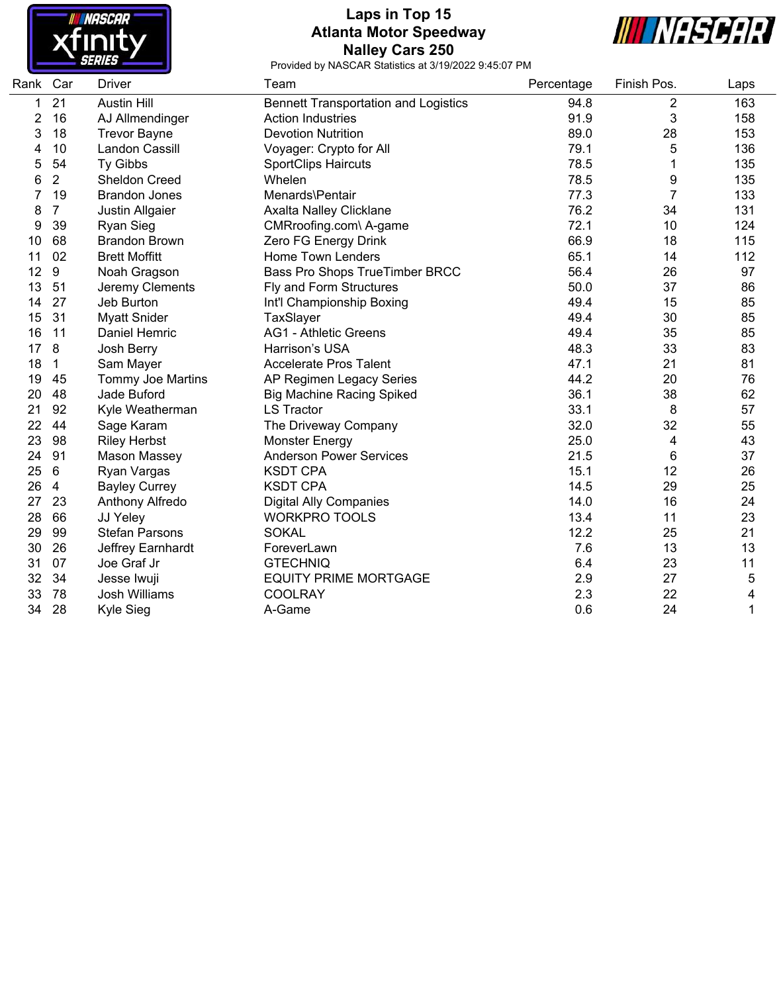

## **Laps in Top 15 Atlanta Motor Speedway Nalley Cars 250**



| Rank Car |                | <b>Driver</b>         | Team                                        | Percentage | Finish Pos.    | Laps |
|----------|----------------|-----------------------|---------------------------------------------|------------|----------------|------|
| 1        | 21             | <b>Austin Hill</b>    | <b>Bennett Transportation and Logistics</b> | 94.8       | $\overline{c}$ | 163  |
| 2        | 16             | AJ Allmendinger       | <b>Action Industries</b>                    | 91.9       | 3              | 158  |
| 3        | 18             | <b>Trevor Bayne</b>   | <b>Devotion Nutrition</b>                   | 89.0       | 28             | 153  |
| 4        | 10             | Landon Cassill        | Voyager: Crypto for All                     | 79.1       | 5              | 136  |
| 5        | 54             | Ty Gibbs              | <b>SportClips Haircuts</b>                  | 78.5       |                | 135  |
| 6        | $\overline{2}$ | Sheldon Creed         | Whelen                                      | 78.5       | 9              | 135  |
| 7        | 19             | <b>Brandon Jones</b>  | Menards\Pentair                             | 77.3       | $\overline{7}$ | 133  |
| 8        | $\overline{7}$ | Justin Allgaier       | Axalta Nalley Clicklane                     | 76.2       | 34             | 131  |
| 9        | 39             | <b>Ryan Sieg</b>      | CMRroofing.com\ A-game                      | 72.1       | 10             | 124  |
| 10       | 68             | <b>Brandon Brown</b>  | Zero FG Energy Drink                        | 66.9       | 18             | 115  |
| 11       | 02             | <b>Brett Moffitt</b>  | Home Town Lenders                           | 65.1       | 14             | 112  |
| 12       | 9              | Noah Gragson          | Bass Pro Shops TrueTimber BRCC              | 56.4       | 26             | 97   |
| 13       | 51             | Jeremy Clements       | Fly and Form Structures                     | 50.0       | 37             | 86   |
| 14       | 27             | Jeb Burton            | Int'l Championship Boxing                   | 49.4       | 15             | 85   |
| 15       | 31             | <b>Myatt Snider</b>   | TaxSlayer                                   | 49.4       | 30             | 85   |
| 16       | 11             | Daniel Hemric         | <b>AG1 - Athletic Greens</b>                | 49.4       | 35             | 85   |
| 17       | 8              | Josh Berry            | Harrison's USA                              | 48.3       | 33             | 83   |
| 18       | $\mathbf{1}$   | Sam Mayer             | <b>Accelerate Pros Talent</b>               | 47.1       | 21             | 81   |
| 19       | 45             | Tommy Joe Martins     | AP Regimen Legacy Series                    | 44.2       | 20             | 76   |
| 20       | 48             | Jade Buford           | <b>Big Machine Racing Spiked</b>            | 36.1       | 38             | 62   |
| 21       | 92             | Kyle Weatherman       | <b>LS Tractor</b>                           | 33.1       | 8              | 57   |
| 22       | 44             | Sage Karam            | The Driveway Company                        | 32.0       | 32             | 55   |
| 23       | 98             | <b>Riley Herbst</b>   | <b>Monster Energy</b>                       | 25.0       | 4              | 43   |
| 24       | 91             | Mason Massey          | <b>Anderson Power Services</b>              | 21.5       | 6              | 37   |
| 25       | 6              | Ryan Vargas           | <b>KSDT CPA</b>                             | 15.1       | 12             | 26   |
| 26       | $\overline{4}$ | <b>Bayley Currey</b>  | <b>KSDT CPA</b>                             | 14.5       | 29             | 25   |
| 27       | 23             | Anthony Alfredo       | <b>Digital Ally Companies</b>               | 14.0       | 16             | 24   |
| 28       | 66             | JJ Yeley              | <b>WORKPRO TOOLS</b>                        | 13.4       | 11             | 23   |
| 29       | 99             | <b>Stefan Parsons</b> | <b>SOKAL</b>                                | 12.2       | 25             | 21   |
| 30       | 26             | Jeffrey Earnhardt     | ForeverLawn                                 | 7.6        | 13             | 13   |
| 31       | 07             | Joe Graf Jr           | <b>GTECHNIQ</b>                             | 6.4        | 23             | 11   |
| 32       | 34             | Jesse Iwuji           | <b>EQUITY PRIME MORTGAGE</b>                | 2.9        | 27             | 5    |
| 33       | 78             | Josh Williams         | COOLRAY                                     | 2.3        | 22             | 4    |
| 34       | 28             | <b>Kyle Sieg</b>      | A-Game                                      | 0.6        | 24             | 1    |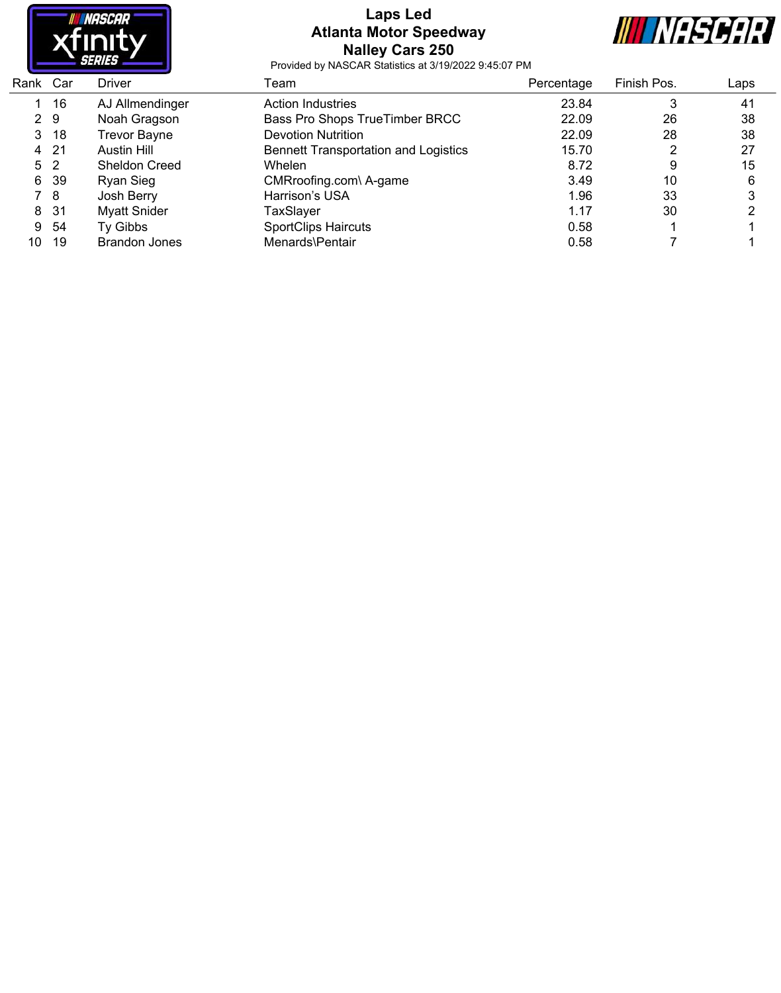

## **Laps Led Atlanta Motor Speedway Nalley Cars 250**



| Rank Car       |     | Driver               | Team                                        | Percentage | Finish Pos. | Laps |
|----------------|-----|----------------------|---------------------------------------------|------------|-------------|------|
|                | 16  | AJ Allmendinger      | Action Industries                           | 23.84      | 3           | 41   |
| 2 9            |     | Noah Gragson         | Bass Pro Shops TrueTimber BRCC              | 22.09      | 26          | 38   |
| 3.             | -18 | <b>Trevor Bayne</b>  | <b>Devotion Nutrition</b>                   | 22.09      | 28          | 38   |
| 4              | -21 | Austin Hill          | <b>Bennett Transportation and Logistics</b> | 15.70      | າ           | 27   |
| 5 <sub>2</sub> |     | <b>Sheldon Creed</b> | <b>Whelen</b>                               | 8.72       | 9           | 15   |
| 6.             | 39  | Ryan Sieg            | CMRroofing.com\ A-game                      | 3.49       | 10          | 6    |
|                | 78  | Josh Berry           | Harrison's USA                              | 1.96       | 33          |      |
| 8              | -31 | <b>Myatt Snider</b>  | TaxSlayer                                   | 1.17       | 30          |      |
| 9              | -54 | Ty Gibbs             | <b>SportClips Haircuts</b>                  | 0.58       |             |      |
| 10             | 19  | Brandon Jones        | Menards\Pentair                             | 0.58       |             |      |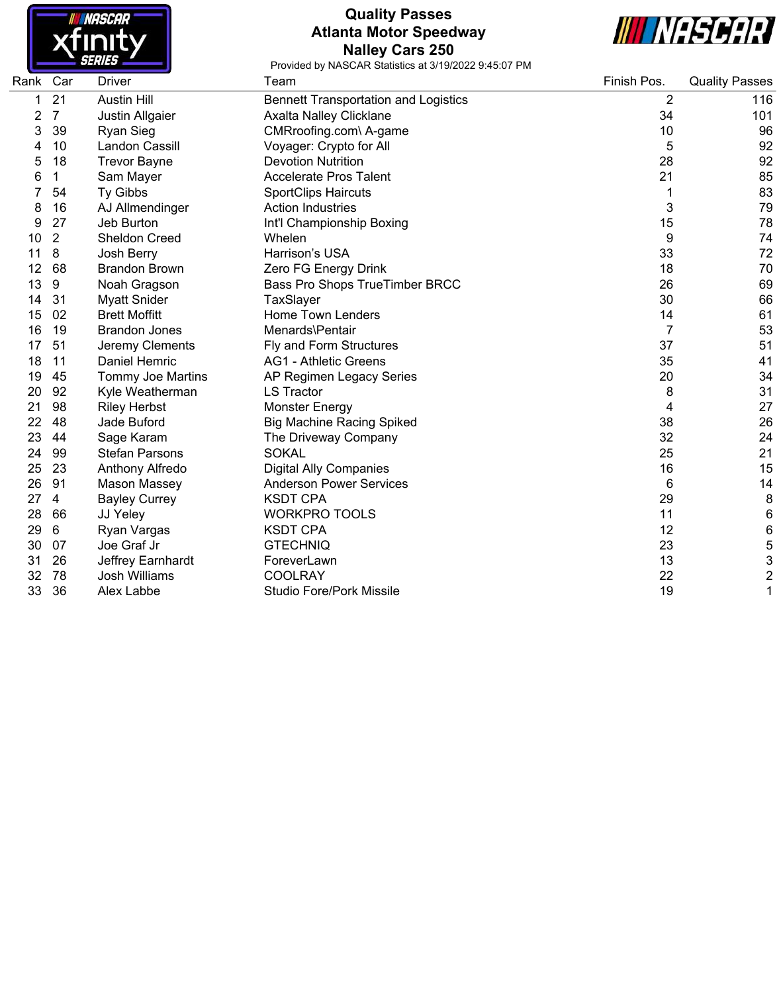

## **Quality Passes Atlanta Motor Speedway Nalley Cars 250**



| Rank | Car            | <b>Driver</b>         | Team                                        | Finish Pos. | <b>Quality Passes</b>   |
|------|----------------|-----------------------|---------------------------------------------|-------------|-------------------------|
|      | 21             | <b>Austin Hill</b>    | <b>Bennett Transportation and Logistics</b> | 2           | 116                     |
| 2    | 7              | Justin Allgaier       | Axalta Nalley Clicklane                     | 34          | 101                     |
| 3    | 39             | <b>Ryan Sieg</b>      | CMRroofing.com\ A-game                      | 10          | 96                      |
|      | 10             | Landon Cassill        | Voyager: Crypto for All                     | 5           | 92                      |
| 5    | 18             | <b>Trevor Bayne</b>   | <b>Devotion Nutrition</b>                   | 28          | 92                      |
| 6    | 1              | Sam Mayer             | <b>Accelerate Pros Talent</b>               | 21          | 85                      |
|      | 54             | Ty Gibbs              | <b>SportClips Haircuts</b>                  | 1           | 83                      |
| 8    | 16             | AJ Allmendinger       | <b>Action Industries</b>                    | 3           | 79                      |
| 9    | 27             | Jeb Burton            | Int'l Championship Boxing                   | 15          | 78                      |
| 10   | $\overline{2}$ | <b>Sheldon Creed</b>  | Whelen                                      | 9           | 74                      |
| 11   | 8              | Josh Berry            | Harrison's USA                              | 33          | 72                      |
| 12   | 68             | <b>Brandon Brown</b>  | Zero FG Energy Drink                        | 18          | 70                      |
| 13   | 9              | Noah Gragson          | Bass Pro Shops TrueTimber BRCC              | 26          | 69                      |
| 14   | 31             | <b>Myatt Snider</b>   | TaxSlayer                                   | 30          | 66                      |
| 15   | 02             | <b>Brett Moffitt</b>  | <b>Home Town Lenders</b>                    | 14          | 61                      |
| 16   | 19             | <b>Brandon Jones</b>  | Menards\Pentair                             | 7           | 53                      |
| 17   | 51             | Jeremy Clements       | Fly and Form Structures                     | 37          | 51                      |
| 18   | 11             | Daniel Hemric         | <b>AG1 - Athletic Greens</b>                | 35          | 41                      |
| 19   | 45             | Tommy Joe Martins     | AP Regimen Legacy Series                    | 20          | 34                      |
| 20   | 92             | Kyle Weatherman       | <b>LS Tractor</b>                           | 8           | 31                      |
| 21   | 98             | <b>Riley Herbst</b>   | <b>Monster Energy</b>                       | 4           | 27                      |
| 22   | 48             | Jade Buford           | <b>Big Machine Racing Spiked</b>            | 38          | 26                      |
| 23   | 44             | Sage Karam            | The Driveway Company                        | 32          | 24                      |
| 24   | 99             | <b>Stefan Parsons</b> | <b>SOKAL</b>                                | 25          | 21                      |
| 25   | 23             | Anthony Alfredo       | <b>Digital Ally Companies</b>               | 16          | 15                      |
| 26   | 91             | Mason Massey          | <b>Anderson Power Services</b>              | 6           | 14                      |
| 27   | 4              | <b>Bayley Currey</b>  | <b>KSDT CPA</b>                             | 29          | 8                       |
| 28   | 66             | JJ Yeley              | <b>WORKPRO TOOLS</b>                        | 11          | 6                       |
| 29   | 6              | Ryan Vargas           | <b>KSDT CPA</b>                             | 12          | 6                       |
| 30   | 07             | Joe Graf Jr           | <b>GTECHNIQ</b>                             | 23          | 5                       |
| 31   | 26             | Jeffrey Earnhardt     | ForeverLawn                                 | 13          | 3                       |
| 32   | 78             | <b>Josh Williams</b>  | <b>COOLRAY</b>                              | 22          | $\overline{\mathbf{c}}$ |
| 33   | 36             | Alex Labbe            | <b>Studio Fore/Pork Missile</b>             | 19          | 1                       |